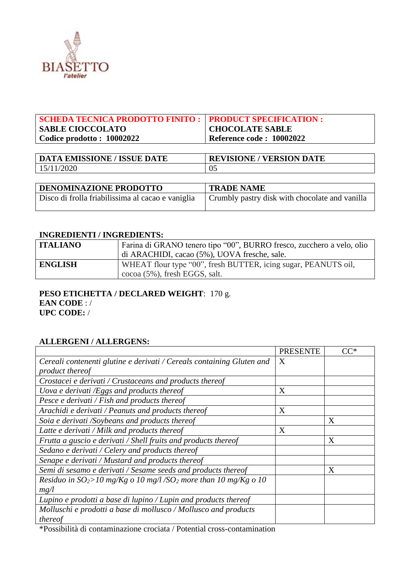

| <b>SCHEDA TECNICA PRODOTTO FINITO :   PRODUCT SPECIFICATION :</b> |                          |
|-------------------------------------------------------------------|--------------------------|
| <b>SABLE CIOCCOLATO</b>                                           | <b>CHOCOLATE SABLE</b>   |
| Codice prodotto: 10002022                                         | Reference code: 10002022 |
|                                                                   |                          |

| <b>DATA EMISSIONE / ISSUE DATE</b> | <b>REVISIONE / VERSION DATE</b> |
|------------------------------------|---------------------------------|
| 15/11/2020                         |                                 |

| <b>DENOMINAZIONE PRODOTTO</b>                                                                      | <b>TRADE NAME</b> |
|----------------------------------------------------------------------------------------------------|-------------------|
| Disco di frolla friabilissima al cacao e vaniglia   Crumbly pastry disk with chocolate and vanilla |                   |

#### **INGREDIENTI / INGREDIENTS:**

| <b>ITALIANO</b> | Farina di GRANO tenero tipo "00", BURRO fresco, zucchero a velo, olio |
|-----------------|-----------------------------------------------------------------------|
|                 | di ARACHIDI, cacao (5%), UOVA fresche, sale.                          |
| <b>ENGLISH</b>  | WHEAT flour type "00", fresh BUTTER, icing sugar, PEANUTS oil,        |
|                 | $\cos \theta$ (5%), fresh EGGS, salt.                                 |

### **PESO ETICHETTA / DECLARED WEIGHT**: 170 g. **EAN CODE** : / **UPC CODE:** /

### **ALLERGENI / ALLERGENS:**

|                                                                                | <b>PRESENTE</b> | $CC^*$ |
|--------------------------------------------------------------------------------|-----------------|--------|
| Cereali contenenti glutine e derivati / Cereals containing Gluten and          | X               |        |
| product thereof                                                                |                 |        |
| Crostacei e derivati / Crustaceans and products thereof                        |                 |        |
| Uova e derivati /Eggs and products thereof                                     | X               |        |
| Pesce e derivati / Fish and products thereof                                   |                 |        |
| Arachidi e derivati / Peanuts and products thereof                             | X               |        |
| Soia e derivati /Soybeans and products thereof                                 |                 | X      |
| Latte e derivati / Milk and products thereof                                   | X               |        |
| Frutta a guscio e derivati / Shell fruits and products thereof                 |                 | X      |
| Sedano e derivati / Celery and products thereof                                |                 |        |
| Senape e derivati / Mustard and products thereof                               |                 |        |
| Semi di sesamo e derivati / Sesame seeds and products thereof                  |                 | X      |
| Residuo in $SO_2$ >10 mg/Kg o 10 mg/l /SO <sub>2</sub> more than 10 mg/Kg o 10 |                 |        |
| mg/l                                                                           |                 |        |
| Lupino e prodotti a base di lupino / Lupin and products thereof                |                 |        |
| Molluschi e prodotti a base di mollusco / Mollusco and products                |                 |        |
| thereof                                                                        |                 |        |

\*Possibilità di contaminazione crociata / Potential cross-contamination